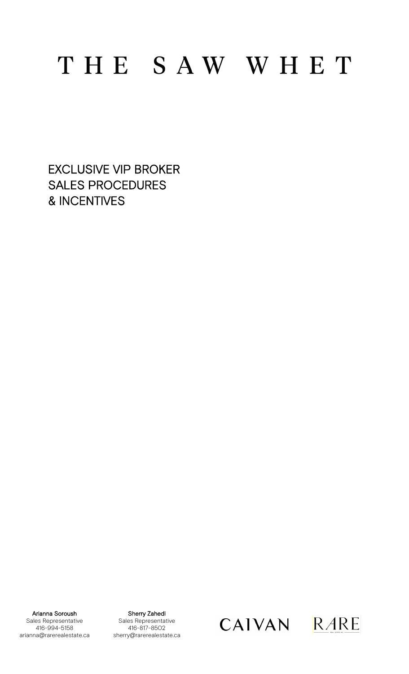# THE SAW WHET

EXCLUSIVE VIP BROKER SALES PROCEDURES & INCENTIVES

Arianna Soroush Sales Representative 416-994-5158 arianna@rarerealestate.ca

Sherry Zahedi Sales Representative 416-817-8502 sherry@rarerealestate.ca

CAIVAN RARE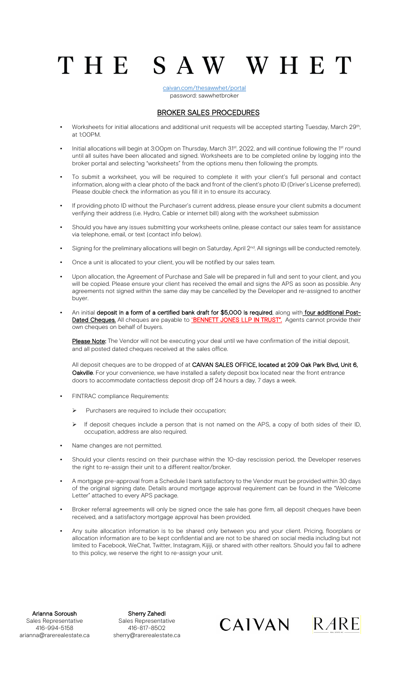[caivan.com/thesawwhet/portal](https://caivan.com/thesawwhet/portal) password: sawwhetbroker

THE SAW WHET

#### BROKER SALES PROCEDURES

- Worksheets for initial allocations and additional unit requests will be accepted starting Tuesday, March 29<sup>th</sup>, at 1:00PM.
- Initial allocations will begin at 3:00pm on Thursday, March 31<sup>st</sup>, 2022, and will continue following the 1<sup>st</sup> round until all suites have been allocated and signed. Worksheets are to be completed online by logging into the broker portal and selecting "worksheets" from the options menu then following the prompts.
- To submit a worksheet, you will be required to complete it with your client's full personal and contact information, along with a clear photo of the back and front of the client's photo ID (Driver's License preferred). Please double check the information as you fill it in to ensure its accuracy.
- If providing photo ID without the Purchaser's current address, please ensure your client submits a document verifying their address (i.e. Hydro, Cable or internet bill) along with the worksheet submission
- Should you have any issues submitting your worksheets online, please contact our sales team for assistance via telephone, email, or text (contact info below).
- **•** Signing for the preliminary allocations will begin on Saturday, April  $2^{nd}$ . All signings will be conducted remotely.
- Once a unit is allocated to your client, you will be notified by our sales team.
- Upon allocation, the Agreement of Purchase and Sale will be prepared in full and sent to your client, and you will be copied. Please ensure your client has received the email and signs the APS as soon as possible. Any agreements not signed within the same day may be cancelled by the Developer and re-assigned to another buyer.
- An initial deposit in a form of a certified bank draft for \$5,000 is required, along with four additional Post-Dated Cheques. All cheques are payable to "BENNETT JONES LLP IN TRUST". Agents cannot provide their own cheques on behalf of buyers.

Please Note: The Vendor will not be executing your deal until we have confirmation of the initial deposit, and all posted dated cheques received at the sales office.

All deposit cheques are to be dropped of at CAIVAN SALES OFFICE, located at 209 Oak Park Blvd, Unit 6, Oakville. For your convenience, we have installed a safety deposit box located near the front entrance doors to accommodate contactless deposit drop off 24 hours a day, 7 days a week.

- **FINTRAC compliance Requirements:** 
	- $\triangleright$  Purchasers are required to include their occupation;
	- $\triangleright$  If deposit cheques include a person that is not named on the APS, a copy of both sides of their ID, occupation, address are also required.
- Name changes are not permitted.
- Should your clients rescind on their purchase within the 10-day rescission period, the Developer reserves the right to re-assign their unit to a different realtor/broker.
- A mortgage pre-approval from a Schedule I bank satisfactory to the Vendor must be provided within 30 days of the original signing date. Details around mortgage approval requirement can be found in the "Welcome Letter" attached to every APS package.
- Broker referral agreements will only be signed once the sale has gone firm, all deposit cheques have been received, and a satisfactory mortgage approval has been provided.
- Any suite allocation information is to be shared only between you and your client. Pricing, floorplans or allocation information are to be kept confidential and are not to be shared on social media including but not limited to Facebook, WeChat, Twitter, Instagram, Kijiji, or shared with other realtors. Should you fail to adhere to this policy, we reserve the right to re-assign your unit.

Arianna Soroush Sales Representative 416-994-5158 arianna@rarerealestate.ca

Sherry Zahedi Sales Representative 416-817-8502 sherry@rarerealestate.ca

CAIVAN RARE